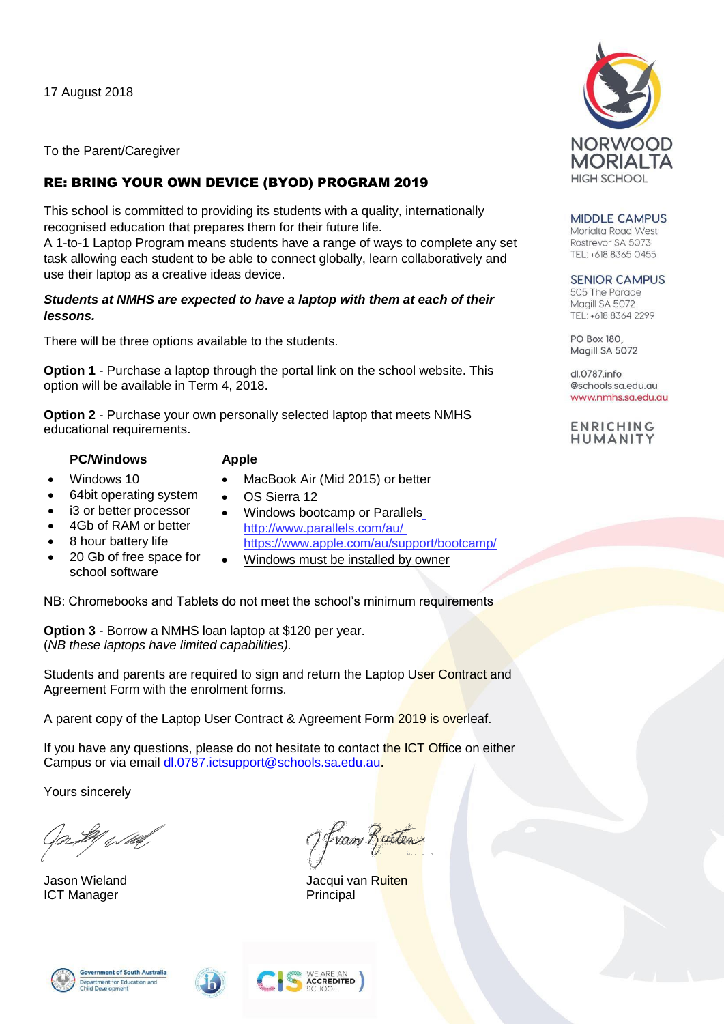17 August 2018

To the Parent/Caregiver

## RE: BRING YOUR OWN DEVICE (BYOD) PROGRAM 2019

This school is committed to providing its students with a quality, internationally recognised education that prepares them for their future life.

A 1-to-1 Laptop Program means students have a range of ways to complete any set task allowing each student to be able to connect globally, learn collaboratively and use their laptop as a creative ideas device.

## *Students at NMHS are expected to have a laptop with them at each of their lessons.*

There will be three options available to the students.

**Option 1** - Purchase a laptop through the portal link on the school website. This option will be available in Term 4, 2018.

**Option 2** - Purchase your own personally selected laptop that meets NMHS educational requirements.

**PC/Windows Apple** Windows 10

- - MacBook Air (Mid 2015) or better
- 64bit operating system
- i3 or better processor
- 4Gb of RAM or better
- 8 hour battery life
- 20 Gb of free space for school software
- Windows bootcamp or Parallels <http://www.parallels.com/au/> <https://www.apple.com/au/support/bootcamp/>
- Windows must be installed by owner

NB: Chromebooks and Tablets do not meet the school's minimum requirements

OS Sierra 12

**Option 3** - Borrow a NMHS loan laptop at \$120 per year. (*NB these laptops have limited capabilities).*

Students and parents are required to sign and return the Laptop User Contract and Agreement Form with the enrolment forms.

A parent copy of the Laptop User Contract & Agreement Form 2019 is overleaf.

If you have any questions, please do not hesitate to contact the ICT Office on either Campus or via email [dl.0787.ictsupport@schools.sa.edu.au.](mailto:dl.0787.ictsupport@schools.sa.edu.au)

Yours sincerely

t fillef

ICT Manager **Principal** 

:partr<br>iild D

fran Rutén

Jason Wieland Jacqui van Ruiten

WE ARE AN<br>Accredited







**MIDDLE CAMPUS** Morialta Road West Rostrevor SA 5073 TEL: +618 8365 0455

**SENIOR CAMPUS** 505 The Parade Magill SA 5072 TEL: +618 8364 2299

PO Box 180, Magill SA 5072

dl.0787.info @schools.sa.edu.au www.nmhs.sa.edu.au

**ENRICHING** HUMANITY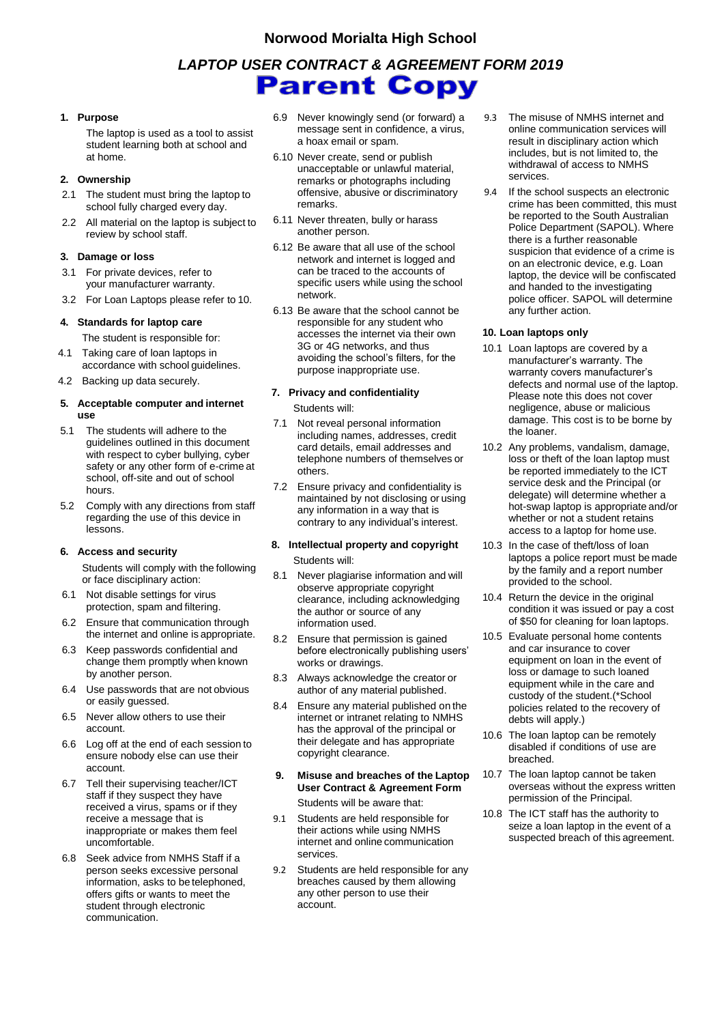#### **Norwood Morialta High School**

# *LAPTOP USER CONTRACT & AGREEMENT FORM 2019* **Parent Copy**

#### **1. Purpose**

The laptop is used as a tool to assist student learning both at school and at home.

#### **2. Ownership**

- 2.1 The student must bring the laptop to school fully charged every day.
- 2.2 All material on the laptop is subject to review by school staff.

#### **3. Damage or loss**

- 3.1 For private devices, refer to your manufacturer warranty.
- 3.2 For Loan Laptops please refer to 10.

#### **4. Standards for laptop care**

- The student is responsible for:
- 4.1 Taking care of loan laptops in accordance with school guidelines.
- 4.2 Backing up data securely.

#### **5. Acceptable computer and internet use**

- 5.1 The students will adhere to the guidelines outlined in this document with respect to cyber bullying, cyber safety or any other form of e-crime at school, off-site and out of school hours.
- 5.2 Comply with any directions from staff regarding the use of this device in lessons.

#### **6. Access and security**

Students will comply with the following or face disciplinary action:

- 6.1 Not disable settings for virus protection, spam and filtering.
- 6.2 Ensure that communication through the internet and online is appropriate.
- 6.3 Keep passwords confidential and change them promptly when known by another person.
- 6.4 Use passwords that are not obvious or easily guessed.
- 6.5 Never allow others to use their account.
- 6.6 Log off at the end of each session to ensure nobody else can use their account.
- 6.7 Tell their supervising teacher/ICT staff if they suspect they have received a virus, spams or if they receive a message that is inappropriate or makes them feel uncomfortable.
- 6.8 Seek advice from NMHS Staff if a person seeks excessive personal information, asks to be telephoned, offers gifts or wants to meet the student through electronic communication.
- 6.9 Never knowingly send (or forward) a message sent in confidence, a virus, a hoax email or spam.
- 6.10 Never create, send or publish unacceptable or unlawful material, remarks or photographs including offensive, abusive or discriminatory remarks.
- 6.11 Never threaten, bully or harass another person.
- 6.12 Be aware that all use of the school network and internet is logged and can be traced to the accounts of specific users while using the school network.
- 6.13 Be aware that the school cannot be responsible for any student who accesses the internet via their own 3G or 4G networks, and thus avoiding the school's filters, for the purpose inappropriate use.

#### **7. Privacy and confidentiality** Students will:

- 7.1 Not reveal personal information including names, addresses, credit card details, email addresses and telephone numbers of themselves or others.
- 7.2 Ensure privacy and confidentiality is maintained by not disclosing or using any information in a way that is contrary to any individual's interest.

#### **8. Intellectual property and copyright** Students will:

- 8.1 Never plagiarise information and will observe appropriate copyright clearance, including acknowledging the author or source of any information used.
- 8.2 Ensure that permission is gained before electronically publishing users' works or drawings.
- 8.3 Always acknowledge the creator or author of any material published.
- 8.4 Ensure any material published on the internet or intranet relating to NMHS has the approval of the principal or their delegate and has appropriate copyright clearance.
- **9. Misuse and breaches of the Laptop User Contract & Agreement Form** Students will be aware that:
- 9.1 Students are held responsible for their actions while using NMHS internet and online communication services.
- 9.2 Students are held responsible for any breaches caused by them allowing any other person to use their account.
- 9.3 The misuse of NMHS internet and online communication services will result in disciplinary action which includes, but is not limited to, the withdrawal of access to NMHS services.
- 9.4 If the school suspects an electronic crime has been committed, this must be reported to the South Australian Police Department (SAPOL). Where there is a further reasonable suspicion that evidence of a crime is on an electronic device, e.g. Loan laptop, the device will be confiscated and handed to the investigating police officer. SAPOL will determine any further action.

#### **10. Loan laptops only**

- 10.1 Loan laptops are covered by a manufacturer's warranty. The warranty covers manufacturer's defects and normal use of the laptop. Please note this does not cover negligence, abuse or malicious damage. This cost is to be borne by the loaner.
- 10.2 Any problems, vandalism, damage, loss or theft of the loan laptop must be reported immediately to the ICT service desk and the Principal (or delegate) will determine whether a hot-swap laptop is appropriate and/or whether or not a student retains access to a laptop for home use.
- 10.3 In the case of theft/loss of loan laptops a police report must be made by the family and a report number provided to the school.
- 10.4 Return the device in the original condition it was issued or pay a cost of \$50 for cleaning for loan laptops.
- 10.5 Evaluate personal home contents and car insurance to cover equipment on loan in the event of loss or damage to such loaned equipment while in the care and custody of the student.(\*School policies related to the recovery of debts will apply.)
- 10.6 The loan laptop can be remotely disabled if conditions of use are breached.
- 10.7 The loan laptop cannot be taken overseas without the express written permission of the Principal.
- 10.8 The ICT staff has the authority to seize a loan laptop in the event of a suspected breach of this agreement.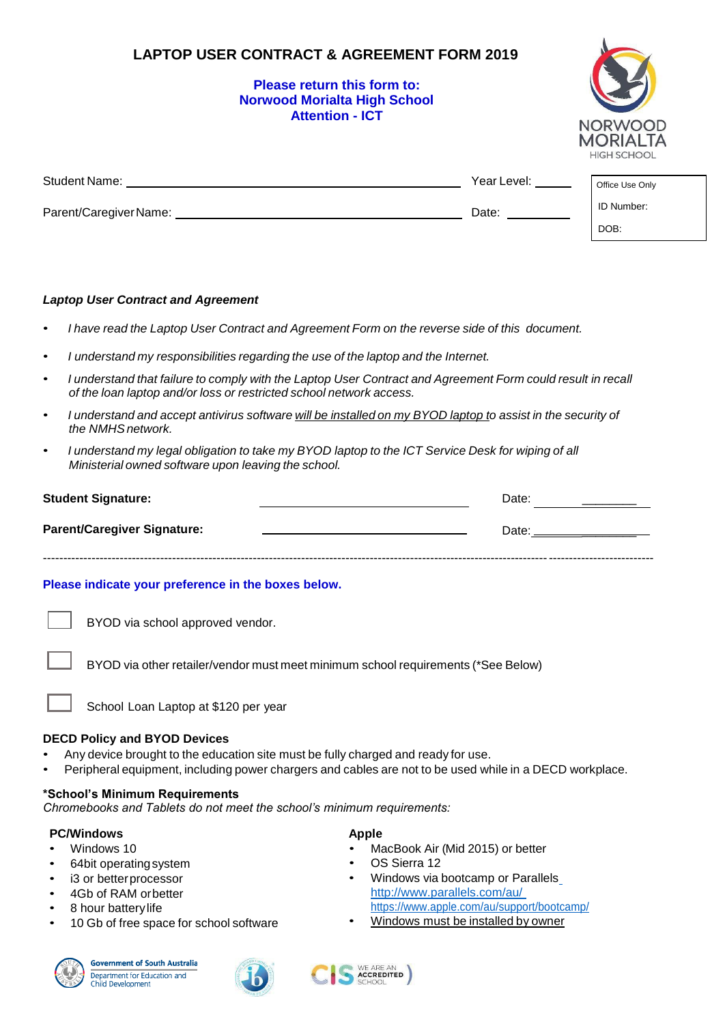## **LAPTOP USER CONTRACT & AGREEMENT FORM 2019**

### **Please return this form to: Norwood Morialta High School Attention - ICT**



| <b>Student Name:</b>  | Year Level: | Office Use Only |
|-----------------------|-------------|-----------------|
| Parent/CaregiverName: | Date:       | ID Number:      |
|                       |             | DOB:            |

#### *Laptop User Contract and Agreement*

- *I have read the Laptop User Contract and Agreement Form on the reverse side of this document.*
- *I understand my responsibilities regarding the use of the laptop and the Internet.*
- I understand that failure to comply with the Laptop User Contract and Agreement Form could result in recall *of the loan laptop and/or loss or restricted school network access.*
- I understand and accept antivirus software will be installed on my BYOD laptop to assist in the security of *the NMHSnetwork.*
- I understand my legal obligation to take my BYOD laptop to the ICT Service Desk for wiping of all *Ministerial owned software upon leaving the school.*

| <b>Student Signature:</b>          | Date: |
|------------------------------------|-------|
| <b>Parent/Caregiver Signature:</b> | Date: |
|                                    |       |

#### **Please indicate your preference in the boxes below.**

BYOD via school approved vendor.

BYOD via other retailer/vendor must meet minimum school requirements (\*See Below)

School Loan Laptop at \$120 per year

#### **DECD Policy and BYOD Devices**

- Any device brought to the education site must be fully charged and ready for use.
- Peripheral equipment, including power chargers and cables are not to be used while in a DECD workplace.

#### **\*School's Minimum Requirements**

*Chromebooks and Tablets do not meet the school's minimum requirements:*

#### **PC/Windows Apple**

- Windows 10
- 64bit operatingsystem
- i3 or betterprocessor
- 4Gb of RAM orbetter
- 8 hour battery life
- 10 Gb of free space for school software







• MacBook Air (Mid 2015) or better

- OS Sierra 12
- Windows via bootcamp or Parallels\_ <http://www.parallels.com/au/> <https://www.apple.com/au/support/bootcamp/>
- Windows must be installed by owner